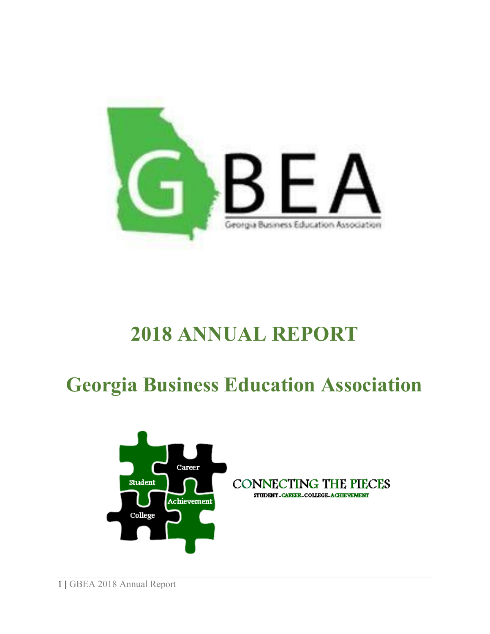

# **ANNUAL REPORT**

# **Georgia Business Education Association**

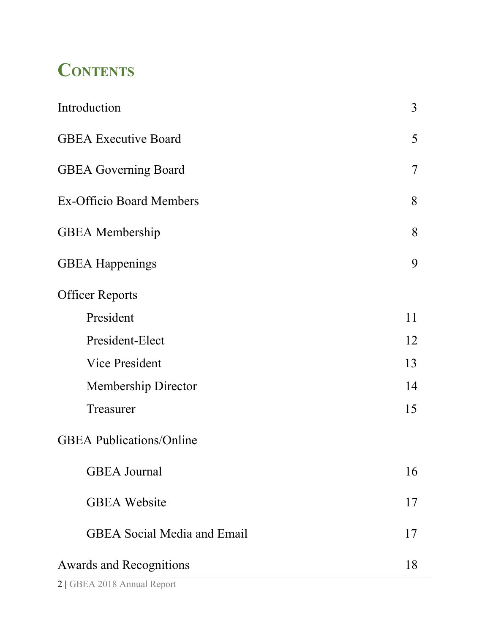## **CONTENTS**

| Introduction                       | 3              |
|------------------------------------|----------------|
| <b>GBEA Executive Board</b>        | 5              |
| <b>GBEA Governing Board</b>        | $\overline{7}$ |
| <b>Ex-Officio Board Members</b>    | 8              |
| <b>GBEA</b> Membership             | 8              |
| <b>GBEA</b> Happenings             | 9              |
| <b>Officer Reports</b>             |                |
| President                          | 11             |
| President-Elect                    | 12             |
| <b>Vice President</b>              | 13             |
| <b>Membership Director</b>         | 14             |
| Treasurer                          | 15             |
| <b>GBEA Publications/Online</b>    |                |
| <b>GBEA</b> Journal                | 16             |
| <b>GBEA</b> Website                | 17             |
| <b>GBEA</b> Social Media and Email | 17             |
| <b>Awards and Recognitions</b>     | 18             |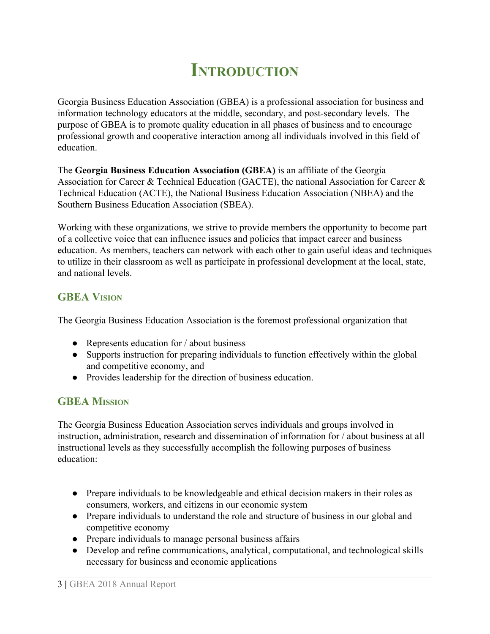## **INTRODUCTION**

Georgia Business Education Association (GBEA) is a professional association for business and information technology educators at the middle, secondary, and post-secondary levels. The purpose of GBEA is to promote quality education in all phases of business and to encourage professional growth and cooperative interaction among all individuals involved in this field of education.

The **Georgia Business Education Association (GBEA)** is an affiliate of the Georgia Association for Career & Technical Education (GACTE), the national Association for Career & Technical Education (ACTE), the National Business Education Association (NBEA) and the Southern Business Education Association (SBEA).

Working with these organizations, we strive to provide members the opportunity to become part of a collective voice that can influence issues and policies that impact career and business education. As members, teachers can network with each other to gain useful ideas and techniques to utilize in their classroom as well as participate in professional development at the local, state, and national levels.

### **GBEA VISION**

The Georgia Business Education Association is the foremost professional organization that

- Represents education for / about business
- Supports instruction for preparing individuals to function effectively within the global and competitive economy, and
- Provides leadership for the direction of business education.

### **GBEA MISSION**

The Georgia Business Education Association serves individuals and groups involved in instruction, administration, research and dissemination of information for / about business at all instructional levels as they successfully accomplish the following purposes of business education:

- Prepare individuals to be knowledgeable and ethical decision makers in their roles as consumers, workers, and citizens in our economic system
- Prepare individuals to understand the role and structure of business in our global and competitive economy
- Prepare individuals to manage personal business affairs
- Develop and refine communications, analytical, computational, and technological skills necessary for business and economic applications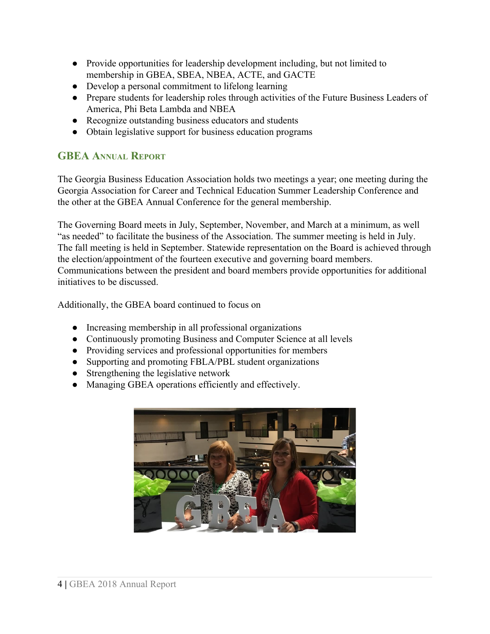- Provide opportunities for leadership development including, but not limited to membership in GBEA, SBEA, NBEA, ACTE, and GACTE
- Develop a personal commitment to lifelong learning
- Prepare students for leadership roles through activities of the Future Business Leaders of America, Phi Beta Lambda and NBEA
- Recognize outstanding business educators and students
- Obtain legislative support for business education programs

### **GBEA ANNUAL REPORT**

The Georgia Business Education Association holds two meetings a year; one meeting during the Georgia Association for Career and Technical Education Summer Leadership Conference and the other at the GBEA Annual Conference for the general membership.

The Governing Board meets in July, September, November, and March at a minimum, as well "as needed" to facilitate the business of the Association. The summer meeting is held in July. The fall meeting is held in September. Statewide representation on the Board is achieved through the election/appointment of the fourteen executive and governing board members. Communications between the president and board members provide opportunities for additional initiatives to be discussed.

Additionally, the GBEA board continued to focus on

- Increasing membership in all professional organizations
- Continuously promoting Business and Computer Science at all levels
- Providing services and professional opportunities for members
- Supporting and promoting FBLA/PBL student organizations
- Strengthening the legislative network
- Managing GBEA operations efficiently and effectively.

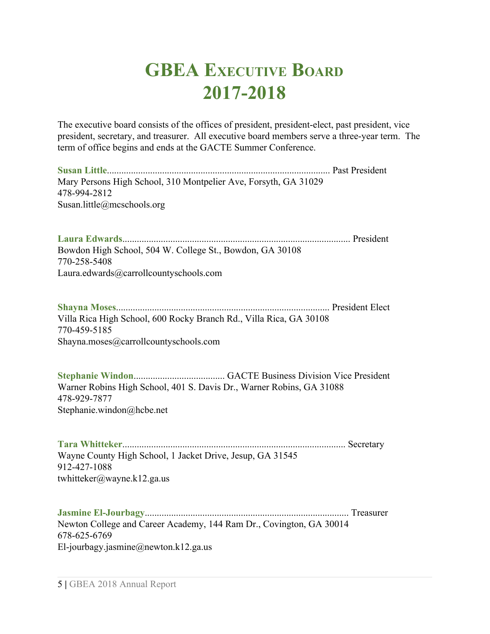## **GBEA EXECUTIVE BOARD 2017-2018**

The executive board consists of the offices of president, president-elect, past president, vice president, secretary, and treasurer. All executive board members serve a three-year term. The term of office begins and ends at the GACTE Summer Conference.

**Susan Little**............................................................................................. Past President Mary Persons High School, 310 Montpelier Ave, Forsyth, GA 31029 478-994-2812 Susan.little@mcschools.org

**Laura Edwards**............................................................................................... President Bowdon High School, 504 W. College St., Bowdon, GA 30108 770-258-5408 Laura.edwards@carrollcountyschools.com

**Shayna Moses**......................................................................................... President Elect Villa Rica High School, 600 Rocky Branch Rd., Villa Rica, GA 30108 770-459-5185 Shayna.moses@carrollcountyschools.com

**Stephanie Windon**...................................... GACTE Business Division Vice President Warner Robins High School, 401 S. Davis Dr., Warner Robins, GA 31088 478-929-7877 Stephanie.windon@hcbe.net

**Tara Whitteker**............................................................................................. Secretary Wayne County High School, 1 Jacket Drive, Jesup, GA 31545 912-427-1088 twhitteker@wayne.k12.ga.us

**Jasmine El-Jourbagy**..................................................................................... Treasurer Newton College and Career Academy, 144 Ram Dr., Covington, GA 30014 678-625-6769 El-jourbagy.jasmine@newton.k12.ga.us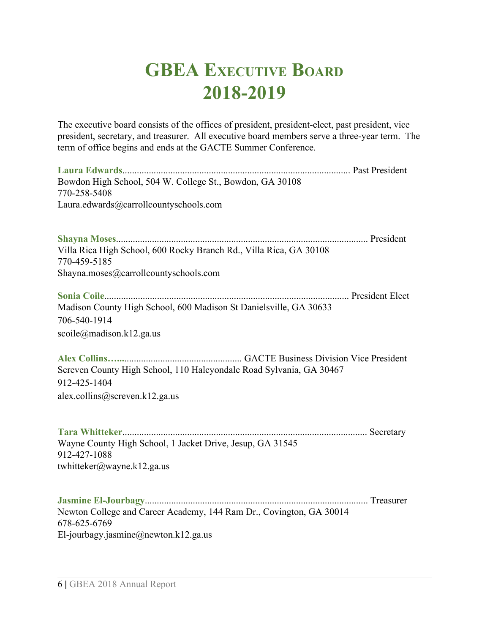## **GBEA EXECUTIVE BOARD 2018-2019**

The executive board consists of the offices of president, president-elect, past president, vice president, secretary, and treasurer. All executive board members serve a three-year term. The term of office begins and ends at the GACTE Summer Conference.

**Laura Edwards**............................................................................................... Past President Bowdon High School, 504 W. College St., Bowdon, GA 30108 770-258-5408 Laura.edwards@carrollcountyschools.com

**Shayna Moses**......................................................................................................... President Villa Rica High School, 600 Rocky Branch Rd., Villa Rica, GA 30108 770-459-5185 Shayna.moses@carrollcountyschools.com

**Sonia Coile**...................................................................................................... President Elect Madison County High School, 600 Madison St Danielsville, GA 30633 706-540-1914 scoile@madison.k12.ga.us

**Alex Collins…...**................................................. GACTE Business Division Vice President Screven County High School, 110 Halcyondale Road Sylvania, GA 30467 912-425-1404 alex.collins@screven.k12.ga.us

**Tara Whitteker**...................................................................................................... Secretary Wayne County High School, 1 Jacket Drive, Jesup, GA 31545 912-427-1088 twhitteker@wayne.k12.ga.us

**Jasmine El-Jourbagy**............................................................................................. Treasurer Newton College and Career Academy, 144 Ram Dr., Covington, GA 30014 678-625-6769 El-jourbagy.jasmine@newton.k12.ga.us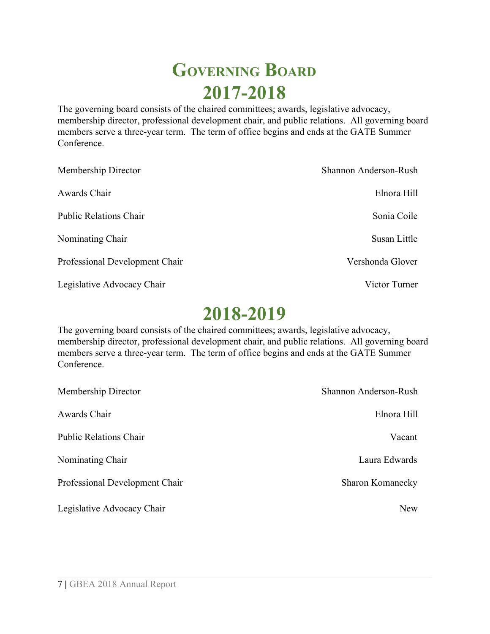## **GOVERNING BOARD 2017-2018**

The governing board consists of the chaired committees; awards, legislative advocacy, membership director, professional development chair, and public relations. All governing board members serve a three-year term. The term of office begins and ends at the GATE Summer Conference.

| Membership Director            | Shannon Anderson-Rush |
|--------------------------------|-----------------------|
| Awards Chair                   | Elnora Hill           |
| <b>Public Relations Chair</b>  | Sonia Coile           |
| Nominating Chair               | Susan Little          |
| Professional Development Chair | Vershonda Glover      |
| Legislative Advocacy Chair     | Victor Turner         |

### **2018-2019**

The governing board consists of the chaired committees; awards, legislative advocacy, membership director, professional development chair, and public relations. All governing board members serve a three-year term. The term of office begins and ends at the GATE Summer **Conference** 

| Membership Director            | Shannon Anderson-Rush   |
|--------------------------------|-------------------------|
| Awards Chair                   | Elnora Hill             |
| <b>Public Relations Chair</b>  | Vacant                  |
| Nominating Chair               | Laura Edwards           |
| Professional Development Chair | <b>Sharon Komanecky</b> |
| Legislative Advocacy Chair     | <b>New</b>              |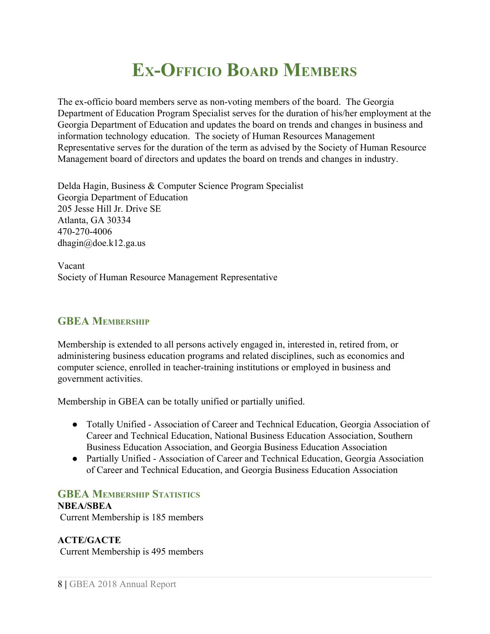## **EX-OFFICIO BOARD MEMBERS**

The ex-officio board members serve as non-voting members of the board. The Georgia Department of Education Program Specialist serves for the duration of his/her employment at the Georgia Department of Education and updates the board on trends and changes in business and information technology education. The society of Human Resources Management Representative serves for the duration of the term as advised by the Society of Human Resource Management board of directors and updates the board on trends and changes in industry.

Delda Hagin, Business & Computer Science Program Specialist Georgia Department of Education 205 Jesse Hill Jr. Drive SE Atlanta, GA 30334 470-270-4006 [dhagin@doe.k12.ga.us](mailto:dhagin@doe.k12.ga.us)

Vacant Society of Human Resource Management Representative

### **GBEA MEMBERSHIP**

Membership is extended to all persons actively engaged in, interested in, retired from, or administering business education programs and related disciplines, such as economics and computer science, enrolled in teacher-training institutions or employed in business and government activities.

Membership in GBEA can be totally unified or partially unified.

- Totally Unified Association of Career and Technical Education, Georgia Association of Career and Technical Education, National Business Education Association, Southern Business Education Association, and Georgia Business Education Association
- Partially Unified Association of Career and Technical Education, Georgia Association of Career and Technical Education, and Georgia Business Education Association

### **GBEA MEMBERSHIP STATISTICS**

**NBEA/SBEA**

Current Membership is 185 members

**ACTE/GACTE** Current Membership is 495 members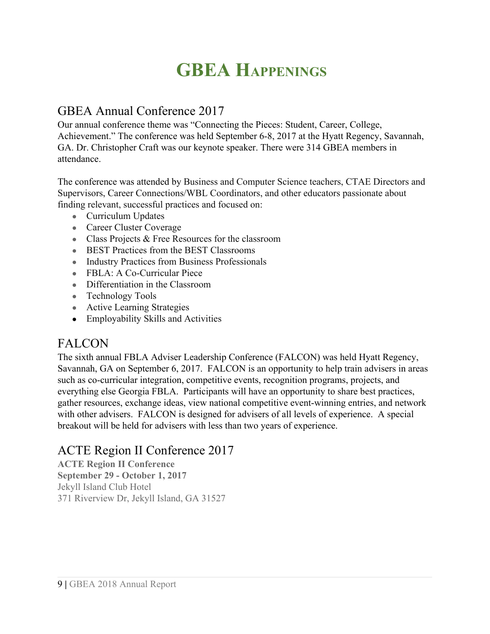## **GBEA HAPPENINGS**

### GBEA Annual Conference 2017

Our annual conference theme was "Connecting the Pieces: Student, Career, College, Achievement." The conference was held September 6-8, 2017 at the Hyatt Regency, Savannah, GA. Dr. Christopher Craft was our keynote speaker. There were 314 GBEA members in attendance.

The conference was attended by Business and Computer Science teachers, CTAE Directors and Supervisors, Career Connections/WBL Coordinators, and other educators passionate about finding relevant, successful practices and focused on:

- Curriculum Updates
- Career Cluster Coverage
- Class Projects & Free Resources for the classroom
- BEST Practices from the BEST Classrooms
- Industry Practices from Business Professionals
- FBLA: A Co-Curricular Piece
- Differentiation in the Classroom
- Technology Tools
- Active Learning Strategies
- Employability Skills and Activities

### FALCON

The sixth annual FBLA Adviser Leadership Conference (FALCON) was held Hyatt Regency, Savannah, GA on September 6, 2017. FALCON is an opportunity to help train advisers in areas such as co-curricular integration, competitive events, recognition programs, projects, and everything else Georgia FBLA. Participants will have an opportunity to share best practices, gather resources, exchange ideas, view national competitive event-winning entries, and network with other advisers. FALCON is designed for advisers of all levels of experience. A special breakout will be held for advisers with less than two years of experience.

### ACTE Region II Conference 2017

**ACTE Region II Conference September 29 - October 1, 2017** Jekyll Island Club Hotel 371 Riverview Dr, Jekyll Island, GA 31527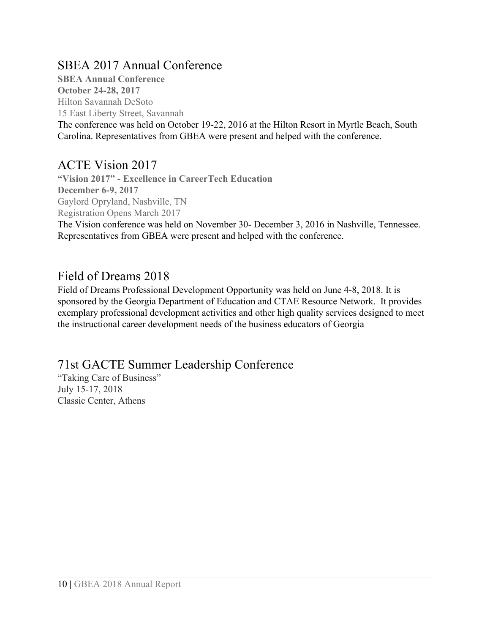### SBEA 2017 Annual Conference

**SBEA Annual Conference October 24-28, 2017** Hilton Savannah DeSoto 15 East Liberty Street, Savannah The conference was held on October 19-22, 2016 at the Hilton Resort in Myrtle Beach, South Carolina. Representatives from GBEA were present and helped with the conference.

### ACTE Vision 2017

**"Vision 2017" - Excellence in CareerTech Education December 6-9, 2017** Gaylord Opryland, Nashville, TN Registration Opens March 2017

The Vision conference was held on November 30- December 3, 2016 in Nashville, Tennessee. Representatives from GBEA were present and helped with the conference.

### Field of Dreams 2018

Field of Dreams Professional Development Opportunity was held on June 4-8, 2018. It is sponsored by the Georgia Department of Education and CTAE Resource Network. It provides exemplary professional development activities and other high quality services designed to meet the instructional career development needs of the business educators of Georgia

### 71st GACTE Summer Leadership Conference

"Taking Care of Business" July 15-17, 2018 Classic Center, Athens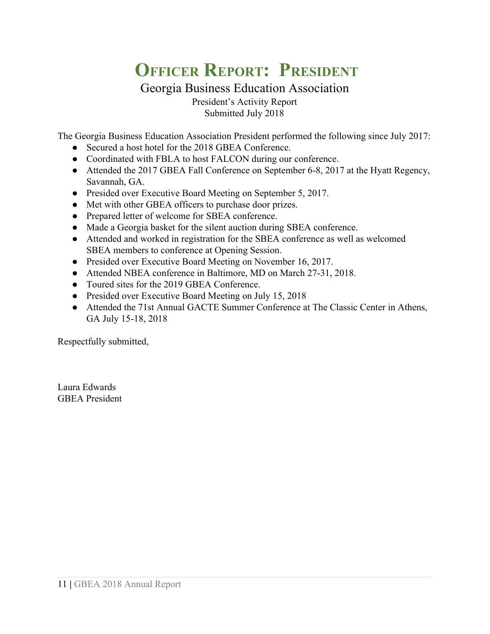## **OFFICER REPORT: PRESIDENT**

Georgia Business Education Association President's Activity Report Submitted July 2018

The Georgia Business Education Association President performed the following since July 2017:

- Secured a host hotel for the 2018 GBEA Conference.
- Coordinated with FBLA to host FALCON during our conference.
- Attended the 2017 GBEA Fall Conference on September 6-8, 2017 at the Hyatt Regency, Savannah, GA.
- Presided over Executive Board Meeting on September 5, 2017.
- Met with other GBEA officers to purchase door prizes.
- Prepared letter of welcome for SBEA conference.
- Made a Georgia basket for the silent auction during SBEA conference.
- Attended and worked in registration for the SBEA conference as well as welcomed SBEA members to conference at Opening Session.
- Presided over Executive Board Meeting on November 16, 2017.
- Attended NBEA conference in Baltimore, MD on March 27-31, 2018.
- Toured sites for the 2019 GBEA Conference.
- Presided over Executive Board Meeting on July 15, 2018
- Attended the 71st Annual GACTE Summer Conference at The Classic Center in Athens, GA July 15-18, 2018

Respectfully submitted,

Laura Edwards GBEA President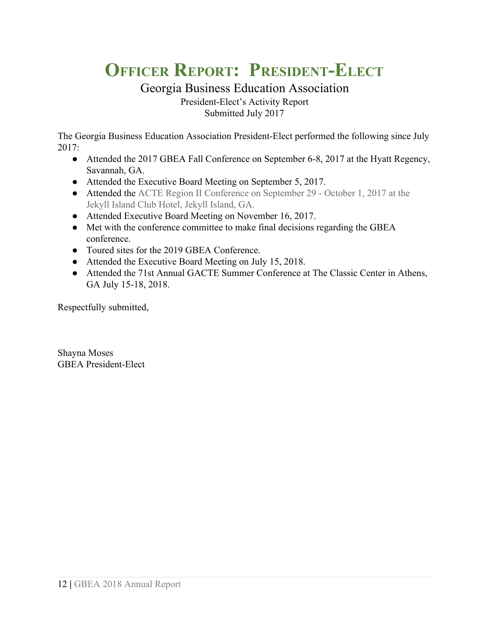## **OFFICER REPORT: PRESIDENT-ELECT**

Georgia Business Education Association President-Elect's Activity Report Submitted July 2017

The Georgia Business Education Association President-Elect performed the following since July 2017:

- Attended the 2017 GBEA Fall Conference on September 6-8, 2017 at the Hyatt Regency, Savannah, GA.
- Attended the Executive Board Meeting on September 5, 2017.
- Attended the ACTE Region II Conference on September 29 October 1, 2017 at the Jekyll Island Club Hotel, Jekyll Island, GA.
- Attended Executive Board Meeting on November 16, 2017.
- Met with the conference committee to make final decisions regarding the GBEA conference.
- Toured sites for the 2019 GBEA Conference.
- Attended the Executive Board Meeting on July 15, 2018.
- Attended the 71st Annual GACTE Summer Conference at The Classic Center in Athens, GA July 15-18, 2018.

Respectfully submitted,

Shayna Moses GBEA President-Elect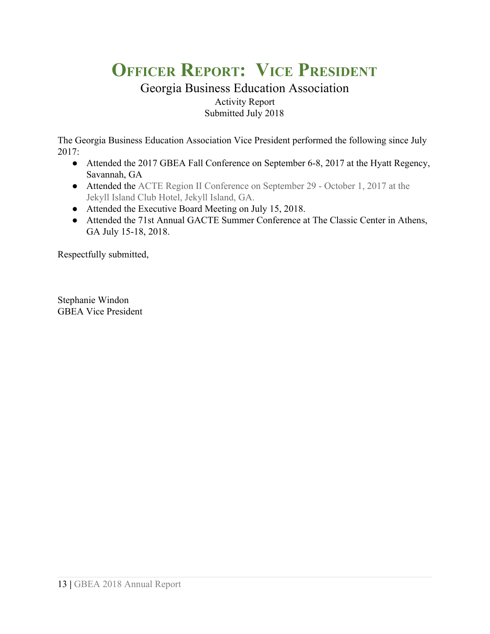## **OFFICER REPORT: VICE PRESIDENT**

### Georgia Business Education Association Activity Report Submitted July 2018

The Georgia Business Education Association Vice President performed the following since July 2017:

- Attended the 2017 GBEA Fall Conference on September 6-8, 2017 at the Hyatt Regency, Savannah, GA
- Attended the ACTE Region II Conference on September 29 October 1, 2017 at the Jekyll Island Club Hotel, Jekyll Island, GA.
- Attended the Executive Board Meeting on July 15, 2018.
- Attended the 71st Annual GACTE Summer Conference at The Classic Center in Athens, GA July 15-18, 2018.

Respectfully submitted,

Stephanie Windon GBEA Vice President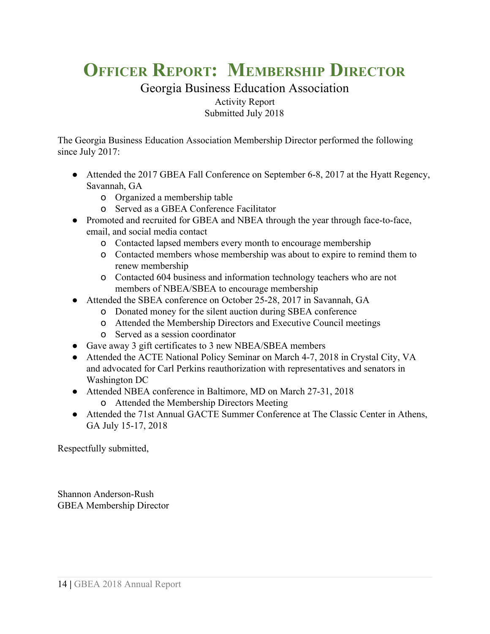## **OFFICER REPORT: MEMBERSHIP DIRECTOR**

#### Georgia Business Education Association Activity Report Submitted July 2018

The Georgia Business Education Association Membership Director performed the following since July 2017:

- Attended the 2017 GBEA Fall Conference on September 6-8, 2017 at the Hyatt Regency, Savannah, GA
	- o Organized a membership table
	- o Served as a GBEA Conference Facilitator
- Promoted and recruited for GBEA and NBEA through the year through face-to-face, email, and social media contact
	- o Contacted lapsed members every month to encourage membership
	- o Contacted members whose membership was about to expire to remind them to renew membership
	- o Contacted 604 business and information technology teachers who are not members of NBEA/SBEA to encourage membership
- Attended the SBEA conference on October 25-28, 2017 in Savannah, GA
	- o Donated money for the silent auction during SBEA conference
	- o Attended the Membership Directors and Executive Council meetings
	- o Served as a session coordinator
- Gave away 3 gift certificates to 3 new NBEA/SBEA members
- Attended the ACTE National Policy Seminar on March 4-7, 2018 in Crystal City, VA and advocated for Carl Perkins reauthorization with representatives and senators in Washington DC
- Attended NBEA conference in Baltimore, MD on March 27-31, 2018
	- o Attended the Membership Directors Meeting
- Attended the 71st Annual GACTE Summer Conference at The Classic Center in Athens, GA July 15-17, 2018

Respectfully submitted,

Shannon Anderson-Rush GBEA Membership Director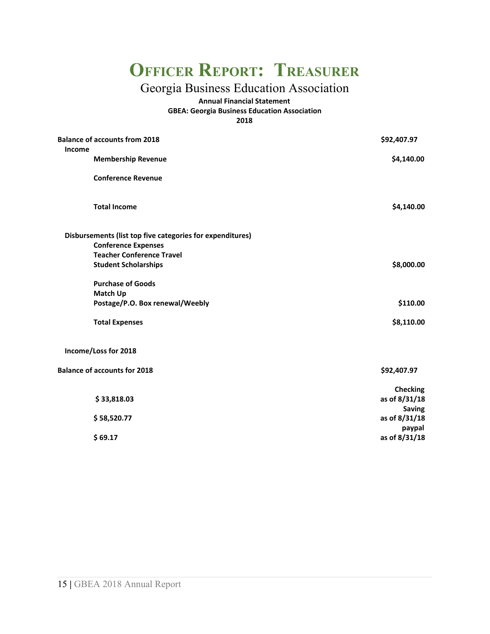### **OFFICER REPORT: TREASURER**

### Georgia Business Education Association

**Annual Financial Statement GBEA: Georgia Business Education Association 2018**

| <b>Balance of accounts from 2018</b><br>Income            | \$92,407.97     |
|-----------------------------------------------------------|-----------------|
| <b>Membership Revenue</b>                                 | \$4,140.00      |
| <b>Conference Revenue</b>                                 |                 |
| <b>Total Income</b>                                       | \$4,140.00      |
| Disbursements (list top five categories for expenditures) |                 |
| <b>Conference Expenses</b>                                |                 |
| <b>Teacher Conference Travel</b>                          |                 |
| <b>Student Scholarships</b>                               | \$8,000.00      |
| <b>Purchase of Goods</b>                                  |                 |
| <b>Match Up</b>                                           |                 |
| Postage/P.O. Box renewal/Weebly                           | \$110.00        |
| <b>Total Expenses</b>                                     | \$8,110.00      |
| Income/Loss for 2018                                      |                 |
| <b>Balance of accounts for 2018</b>                       | \$92,407.97     |
|                                                           | <b>Checking</b> |
| \$33,818.03                                               | as of 8/31/18   |
|                                                           | <b>Saving</b>   |
| \$58,520.77                                               | as of 8/31/18   |
|                                                           | paypal          |
| \$69.17                                                   | as of 8/31/18   |
|                                                           |                 |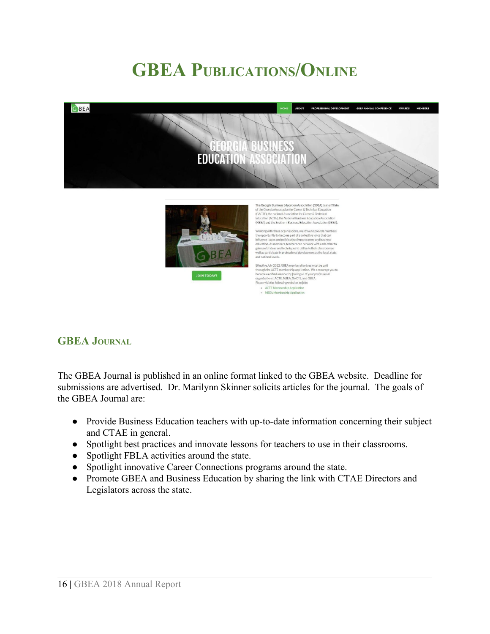## **GBEA PUBLICATIONS/ONLINE**





and national levels Effective July 2012, GBEA membership dues must be paid prough the ACTE membership application. We end **NIFORD WALLTO** concome a unified member by joining attorn, we encourage<br>pecome a unified member by joining all of your professional<br>preanizations: ACTE, NBEA, GACTE, and GBEA,<br>Please visit the following websites to join:

ganizations: ACTE, NBEA, GACTE, and Gase visit the following websites to join:<br>• ACTE Membership Application<br>• NBEA Membership Application

### **GBEA JOURNAL**

The GBEA Journal is published in an online format linked to the GBEA website. Deadline for submissions are advertised. Dr. Marilynn Skinner solicits articles for the journal. The goals of the GBEA Journal are:

- Provide Business Education teachers with up-to-date information concerning their subject and CTAE in general.
- Spotlight best practices and innovate lessons for teachers to use in their classrooms.
- Spotlight FBLA activities around the state.
- Spotlight innovative Career Connections programs around the state.
- Promote GBEA and Business Education by sharing the link with CTAE Directors and Legislators across the state.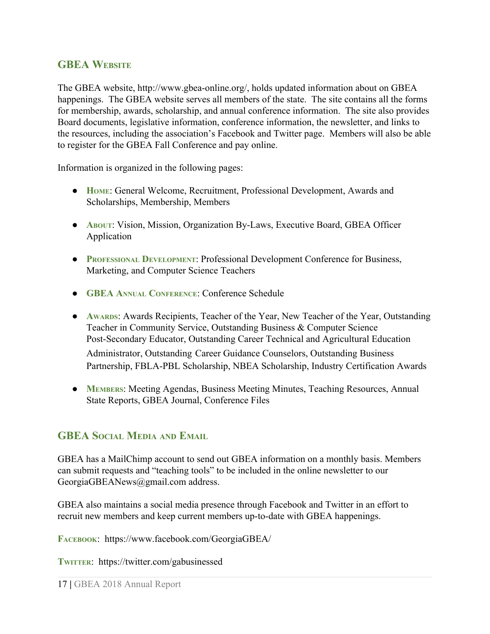### **GBEA WEBSITE**

The GBEA website, http://www.gbea-online.org/, holds updated information about on GBEA happenings. The GBEA website serves all members of the state. The site contains all the forms for membership, awards, scholarship, and annual conference information. The site also provides Board documents, legislative information, conference information, the newsletter, and links to the resources, including the association's Facebook and Twitter page. Members will also be able to register for the GBEA Fall Conference and pay online.

Information is organized in the following pages:

- **HOME**: General Welcome, Recruitment, Professional Development, Awards and Scholarships, Membership, Members
- **ABOUT**: Vision, Mission, Organization By-Laws, Executive Board, GBEA Officer Application
- **PROFESSIONAL DEVELOPMENT**: Professional Development Conference for Business, Marketing, and Computer Science Teachers
- **GBEA ANNUAL CONFERENCE**: Conference Schedule
- **AWARDS**: Awards Recipients, Teacher of the Year, New Teacher of the Year, Outstanding Teacher in Community Service, Outstanding Business & Computer Science Post-Secondary Educator, Outstanding Career Technical and Agricultural Education Administrator, Outstanding Career Guidance Counselors, Outstanding Business Partnership, FBLA-PBL Scholarship, NBEA Scholarship, Industry Certification Awards
- **MEMBERS**: Meeting Agendas, Business Meeting Minutes, Teaching Resources, Annual State Reports, GBEA Journal, Conference Files

### **GBEA SOCIAL MEDIA AND EMAIL**

GBEA has a MailChimp account to send out GBEA information on a monthly basis. Members can submit requests and "teaching tools" to be included in the online newsletter to our GeorgiaGBEANews@gmail.com address.

GBEA also maintains a social media presence through Facebook and Twitter in an effort to recruit new members and keep current members up-to-date with GBEA happenings.

**FACEBOOK**: https://www.facebook.com/GeorgiaGBEA/

**TWITTER**: https://twitter.com/gabusinessed